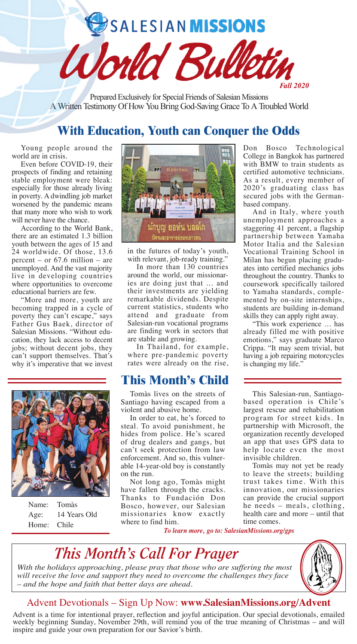SALESIAN MISSIONS

Prepared Exclusively for Special Friends of Salesian Missions A Written Testimony Of How You Bring God-Saving Grace To A Troubled World

World Bull

# **With Education, Youth can Conquer the Odds**

Young people around the world are in crisis.

Even before COVID-19, their prospects of finding and retaining stable employment were bleak: especially for those already living in poverty. A dwindling job market worsened by the pandemic means that many more who wish to work will never have the chance.

According to the World Bank, there are an estimated 1.3 billion youth between the ages of 15 and 24 worldwide. Of those, 13.6 percent – or 67.6 million – are unemployed. And the vast majority live in developing countries where opportunities to overcome educational barriers are few.

"More and more, youth are becoming trapped in a cycle of poverty they can't escape," says Father Gus Baek, director of Salesian Missions. "Without education, they lack access to decent jobs; without decent jobs, they can't support themselves. That's why it's imperative that we invest



Name: Tomàs Age: 14 Years Old Home: Chile



in the futures of today's youth, with relevant, job-ready training."

In more than 130 countries around the world, our missionaries are doing just that … and their investments are yielding remarkable dividends. Despite current statistics, students who attend and graduate from Salesian-run vocational programs are finding work in sectors that are stable and growing.

In Thailand, for example, where pre-pandemic poverty rates were already on the rise,

## **This Month's Child**

Tomàs lives on the streets of Santiago having escaped from a violent and abusive home.

In order to eat, he's forced to steal. To avoid punishment, he hides from police. He's scared of drug dealers and gangs, but can't seek protection from law enforcement. And so, this vulnerable 14-year-old boy is constantly on the run.

Not long ago, Tomàs might have fallen through the cracks. Thanks to Fundación Don Bosco, however, our Salesian missionaries know exactly where to find him.

Don Bosco Technological College in Bangkok has partnered with BMW to train students as certified automotive technicians. As a result, every member of 2020's graduating class has secured jobs with the Germanbased company.

*Fall 2020*

And in Italy, where youth unemployment approaches a staggering 41 percent, a flagship partnership between Yamaha Motor Italia and the Salesian Vocational Training School in Milan has begun placing graduates into certified mechanics jobs throughout the country. Thanks to coursework specifically tailored to Yamaha standards, complemented by on-site internships, students are building in-demand skills they can apply right away.

"This work experience … has already filled me with positive emotions," says graduate Marco Crippa. "It may seem trivial, but having a job repairing motorcycles is changing my life."

This Salesian-run, Santiagobased operation is Chile's largest rescue and rehabilitation program for street kids. In partnership with Microsoft, the organization recently developed an app that uses GPS data to help locate even the most invisible children.

Tomàs may not yet be ready to leave the streets; building trust takes time. With this innovation, our missionaries can provide the crucial support he needs – meals, clothing, health care and more – until that time comes.

*To learn more, go to: SalesianMissions.org/gps*



*With the holidays approaching, please pray that those who are suffering the most will receive the love and support they need to overcome the challenges they face – and the hope and faith that better days are ahead.*



### Advent Devotionals – Sign Up Now: **www.SalesianMissions.org/Advent**

Advent is a time for intentional prayer, reflection and joyful anticipation. Our special devotionals, emailed weekly beginning Sunday, November 29th, will remind you of the true meaning of Christmas – and will inspire and guide your own preparation for our Savior's birth.